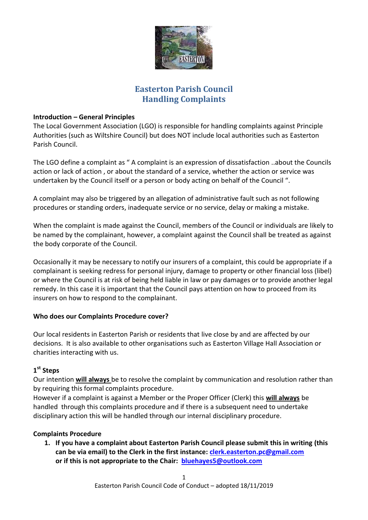

# **Easterton Parish Council Handling Complaints**

# **Introduction – General Principles**

The Local Government Association (LGO) is responsible for handling complaints against Principle Authorities (such as Wiltshire Council) but does NOT include local authorities such as Easterton Parish Council.

The LGO define a complaint as " A complaint is an expression of dissatisfaction ..about the Councils action or lack of action , or about the standard of a service, whether the action or service was undertaken by the Council itself or a person or body acting on behalf of the Council ".

A complaint may also be triggered by an allegation of administrative fault such as not following procedures or standing orders, inadequate service or no service, delay or making a mistake.

When the complaint is made against the Council, members of the Council or individuals are likely to be named by the complainant, however, a complaint against the Council shall be treated as against the body corporate of the Council.

Occasionally it may be necessary to notify our insurers of a complaint, this could be appropriate if a complainant is seeking redress for personal injury, damage to property or other financial loss (libel) or where the Council is at risk of being held liable in law or pay damages or to provide another legal remedy. In this case it is important that the Council pays attention on how to proceed from its insurers on how to respond to the complainant.

# **Who does our Complaints Procedure cover?**

Our local residents in Easterton Parish or residents that live close by and are affected by our decisions. It is also available to other organisations such as Easterton Village Hall Association or charities interacting with us.

# **1 st Steps**

Our intention **will always** be to resolve the complaint by communication and resolution rather than by requiring this formal complaints procedure.

However if a complaint is against a Member or the Proper Officer (Clerk) this **will always** be handled through this complaints procedure and if there is a subsequent need to undertake disciplinary action this will be handled through our internal disciplinary procedure.

# **Complaints Procedure**

**1. If you have a complaint about Easterton Parish Council please submit this in writing (this can be via email) to the Clerk in the first instance: [clerk.easterton.pc@gmail.com](mailto:clerk.easterton.pc@gmail.com) or if this is not appropriate to the Chair: [bluehayes5@outlook.com](mailto:bluehayes5@outlook.com)**